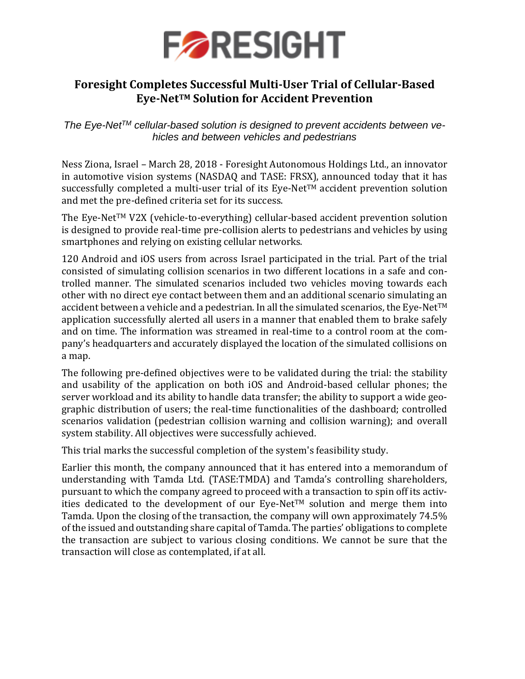

### **Foresight Completes Successful Multi-User Trial of Cellular-Based Eye-NetTM Solution for Accident Prevention**

*The Eye-NetTM cellular-based solution is designed to prevent accidents between vehicles and between vehicles and pedestrians*

Ness Ziona, Israel – March 28, 2018 - Foresight Autonomous Holdings Ltd., an innovator in automotive vision systems (NASDAQ and TASE: FRSX), announced today that it has successfully completed a multi-user trial of its Eye-NetTM accident prevention solution and met the pre-defined criteria set for its success.

The Eye-NetTM V2X (vehicle-to-everything) cellular-based accident prevention solution is designed to provide real-time pre-collision alerts to pedestrians and vehicles by using smartphones and relying on existing cellular networks.

120 Android and iOS users from across Israel participated in the trial. Part of the trial consisted of simulating collision scenarios in two different locations in a safe and controlled manner. The simulated scenarios included two vehicles moving towards each other with no direct eye contact between them and an additional scenario simulating an accident between a vehicle and a pedestrian. In all the simulated scenarios, the Eye-Net<sup>TM</sup> application successfully alerted all users in a manner that enabled them to brake safely and on time. The information was streamed in real-time to a control room at the company's headquarters and accurately displayed the location of the simulated collisions on a map.

The following pre-defined objectives were to be validated during the trial: the stability and usability of the application on both iOS and Android-based cellular phones; the server workload and its ability to handle data transfer; the ability to support a wide geographic distribution of users; the real-time functionalities of the dashboard; controlled scenarios validation (pedestrian collision warning and collision warning); and overall system stability. All objectives were successfully achieved.

This trial marks the successful completion of the system's feasibility study.

Earlier this month, the company announced that it has entered into a memorandum of understanding with Tamda Ltd. (TASE:TMDA) and Tamda's controlling shareholders, pursuant to which the company agreed to proceed with a transaction to spin off its activities dedicated to the development of our Eye-Net<sup>TM</sup> solution and merge them into Tamda. Upon the closing of the transaction, the company will own approximately 74.5% of the issued and outstanding share capital of Tamda. The parties' obligations to complete the transaction are subject to various closing conditions. We cannot be sure that the transaction will close as contemplated, if at all.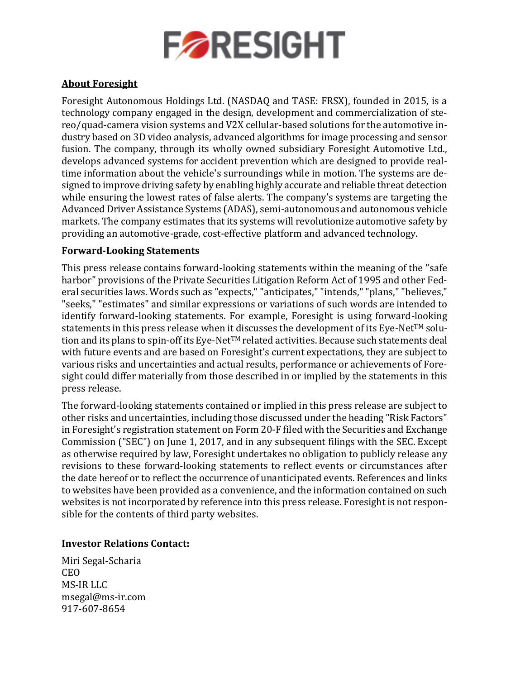

### **About Foresight**

Foresight Autonomous Holdings Ltd. (NASDAQ and TASE: FRSX), founded in 2015, is a technology company engaged in the design, development and commercialization of stereo/quad-camera vision systems and V2X cellular-based solutions for the automotive industry based on 3D video analysis, advanced algorithms for image processing and sensor fusion. The company, through its wholly owned subsidiary Foresight Automotive Ltd., develops advanced systems for accident prevention which are designed to provide realtime information about the vehicle's surroundings while in motion. The systems are designed to improve driving safety by enabling highly accurate and reliable threat detection while ensuring the lowest rates of false alerts. The company's systems are targeting the Advanced Driver Assistance Systems (ADAS), semi-autonomous and autonomous vehicle markets. The company estimates that its systems will revolutionize automotive safety by providing an automotive-grade, cost-effective platform and advanced technology.

### **Forward-Looking Statements**

This press release contains forward-looking statements within the meaning of the "safe harbor" provisions of the Private Securities Litigation Reform Act of 1995 and other Federal securities laws. Words such as "expects," "anticipates," "intends," "plans," "believes," "seeks," "estimates" and similar expressions or variations of such words are intended to identify forward-looking statements. For example, Foresight is using forward-looking statements in this press release when it discusses the development of its Eye-Net<sup>TM</sup> solution and its plans to spin-off its Eye-Net<sup>TM</sup> related activities. Because such statements deal with future events and are based on Foresight's current expectations, they are subject to various risks and uncertainties and actual results, performance or achievements of Foresight could differ materially from those described in or implied by the statements in this press release.

The forward-looking statements contained or implied in this press release are subject to other risks and uncertainties, including those discussed under the heading "Risk Factors" in Foresight's registration statement on Form 20-F filed with the Securities and Exchange Commission ("SEC") on June 1, 2017, and in any subsequent filings with the SEC. Except as otherwise required by law, Foresight undertakes no obligation to publicly release any revisions to these forward-looking statements to reflect events or circumstances after the date hereof or to reflect the occurrence of unanticipated events. References and links to websites have been provided as a convenience, and the information contained on such websites is not incorporated by reference into this press release. Foresight is not responsible for the contents of third party websites.

### **Investor Relations Contact:**

Miri Segal-Scharia CEO MS-IR LLC [msegal@ms-ir.com](mailto:msegal@ms-ir.com) 917-607-8654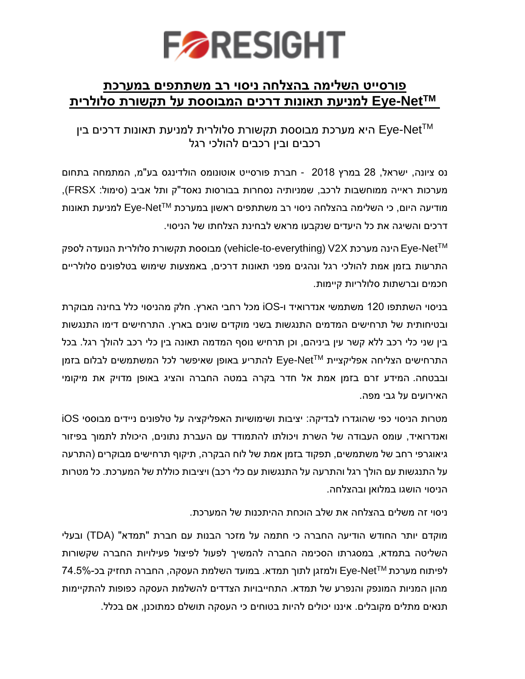

## **פורסייט השלימה בהצלחה ניסוי רב משתתפים במערכת Eye-Net™ למניעת תאונות דרכים המבוססת על תקשורת סלולריח**<br>Eye-Net™ היא מערכת מבוססת תקשורת סלולרית למניעת תאונות דרכים בין **Eye למניעת תאונות דרכים המבוססת על תקשורת סלולרית NetTM**

# היא מערכת מבוססת תקשורת סלולרית ל- Eye<br>רכבים ובין רכבים להולכי רגל

נס ציונה, ישראל, 28 במרץ 2018 - חברת פורסייט אוטונומס הולדינגס בע"מ, המתמחה בתחום מערכות ראייה ממוחשבות לרכב, שמניותיה נסחרות בבורסות נאסד"ק ותל אביב )סימול: FRSX), למניעת תאונות Eye-Net™ מודיעה היום, כי השלימה בהצלחה ניסוי רב משתתפים ראשון במערכת דרכים והשיגה את כל היעדים שנקבעו מראש לבחינת הצלחתו של הניסוי.

התרעות בזמן אמת להולכי רגל ונהגים מפני תאונות דרכים, באמצעות שימוש בטלפונים סלולריים-הינה מערכת V2X) הינה מערכת (vehicle-to-everything) מבוססת תקשורת סלולרית הנועדה לספק Eye-Net חכמים וברשתות סלולריות קיימות.

בניסוי השתתפו 120 משתמשי אנדרואיד ו-iOS מכל רחבי הארץ. חלק מהניסוי כלל בחינה מבוקרת ובטיחותית של תרחישים המדמים התנגשות בשני מוקדים שונים בארץ. התרחישים דימו התנגשות בין שני כלי רכב ללא קשר עין ביניהם, וכן תרחיש נוסף המדמה תאונה בין כלי רכב להולך רגל. בכל  $\epsilon$ להתריע באופן שאיפשר לכל המשתמשים לבלום בזמן Eye-Net $\tau$ M התרחישים הצליחה אפליקציית ובבטחה. המידע זרם בזמן אמת אל חדר בקרה במטה החברה והציג באופן מדויק את מיקומי האירועים על גבי מפה.

מטרות הניסוי כפי שהוגדרו לבדיקה: יציבות ושימושיות האפליקציה על טלפונים ניידים מבוססי iOS ואנדרואיד, עומס העבודה של השרת ויכולתו להתמודד עם העברת נתונים, היכולת לתמוך בפיזור גיאוגרפי רחב של משתמשים, תפקוד בזמן אמת של לוח הבקרה, תיקוף תרחישים מבוקרים )התרעה על התנגשות עם הולך רגל והתרעה על התנגשות עם כלי רכב) ויציבות כוללת של המערכת. כל מטרות הניסוי הושגו במלואן ובהצלחה.

ניסוי זה משלים בהצלחה את שלב הוכחת ההיתכנות של המערכת.

מוקדם יותר החודש הודיעה החברה כי חתמה על מזכר הבנות עם חברת "תמדא" )TDA )ובעלי השליטה בתמדא, במסגרתו הסכימה החברה להמשיך לפעול לפיצול פעילויות החברה שקשורות -Eye ולמזגן לתוך תמדא. במועד השלמת העסקה, החברה תחזיק בכ74.5%- NetTM לפיתוח מערכת מהון המניות המונפק והנפרע של תמדא. התחייבויות הצדדים להשלמת העסקה כפופות להתקיימות תנאים מתלים מקובלים. איננו יכולים להיות בטוחים כי העסקה תושלם כמתוכנן, אם בכלל.